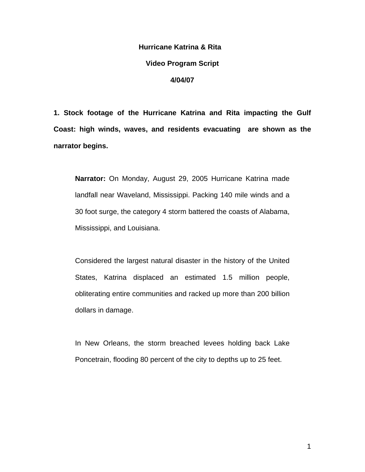# **Hurricane Katrina & Rita Video Program Script 4/04/07**

**1. Stock footage of the Hurricane Katrina and Rita impacting the Gulf Coast: high winds, waves, and residents evacuating are shown as the narrator begins.** 

**Narrator:** On Monday, August 29, 2005 Hurricane Katrina made landfall near Waveland, Mississippi. Packing 140 mile winds and a 30 foot surge, the category 4 storm battered the coasts of Alabama, Mississippi, and Louisiana.

Considered the largest natural disaster in the history of the United States, Katrina displaced an estimated 1.5 million people, obliterating entire communities and racked up more than 200 billion dollars in damage.

In New Orleans, the storm breached levees holding back Lake Poncetrain, flooding 80 percent of the city to depths up to 25 feet.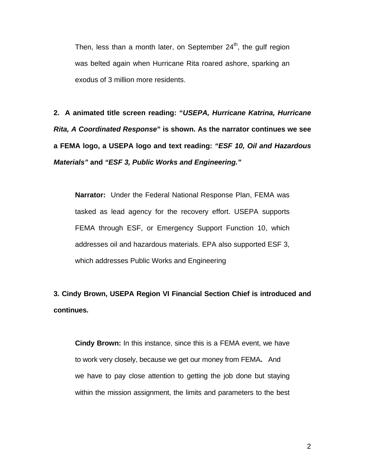Then, less than a month later, on September  $24<sup>th</sup>$ , the gulf region was belted again when Hurricane Rita roared ashore, sparking an exodus of 3 million more residents.

**2. A animated title screen reading: "***USEPA, Hurricane Katrina, Hurricane Rita, A Coordinated Response***" is shown. As the narrator continues we see a FEMA logo, a USEPA logo and text reading:** *"ESF 10, Oil and Hazardous Materials"* **and** *"ESF 3, Public Works and Engineering."*

**Narrator:** Under the Federal National Response Plan, FEMA was tasked as lead agency for the recovery effort. USEPA supports FEMA through ESF, or Emergency Support Function 10, which addresses oil and hazardous materials. EPA also supported ESF 3, which addresses Public Works and Engineering

**3. Cindy Brown, USEPA Region VI Financial Section Chief is introduced and continues.** 

**Cindy Brown:** In this instance, since this is a FEMA event, we have to work very closely, because we get our money from FEMA**.** And we have to pay close attention to getting the job done but staying within the mission assignment, the limits and parameters to the best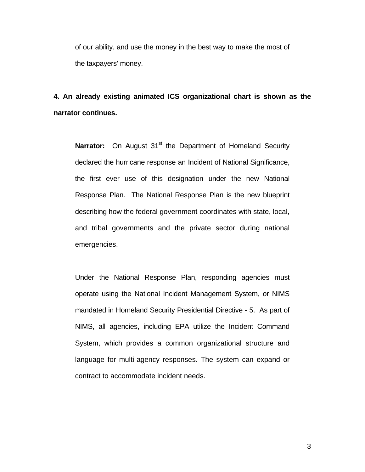of our ability, and use the money in the best way to make the most of the taxpayers' money.

### **4. An already existing animated ICS organizational chart is shown as the narrator continues.**

**Narrator:** On August 31<sup>st</sup> the Department of Homeland Security declared the hurricane response an Incident of National Significance, the first ever use of this designation under the new National Response Plan. The National Response Plan is the new blueprint describing how the federal government coordinates with state, local, and tribal governments and the private sector during national emergencies.

Under the National Response Plan, responding agencies must operate using the National Incident Management System, or NIMS mandated in Homeland Security Presidential Directive - 5. As part of NIMS, all agencies, including EPA utilize the Incident Command System, which provides a common organizational structure and language for multi-agency responses. The system can expand or contract to accommodate incident needs.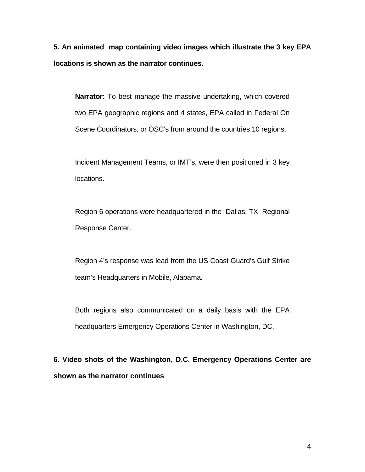**5. An animated map containing video images which illustrate the 3 key EPA locations is shown as the narrator continues.** 

**Narrator:** To best manage the massive undertaking, which covered two EPA geographic regions and 4 states, EPA called in Federal On Scene Coordinators, or OSC's from around the countries 10 regions.

Incident Management Teams, or IMT's, were then positioned in 3 key locations.

Region 6 operations were headquartered in the Dallas, TX Regional Response Center.

Region 4's response was lead from the US Coast Guard's Gulf Strike team's Headquarters in Mobile, Alabama.

Both regions also communicated on a daily basis with the EPA headquarters Emergency Operations Center in Washington, DC.

**6. Video shots of the Washington, D.C. Emergency Operations Center are shown as the narrator continues**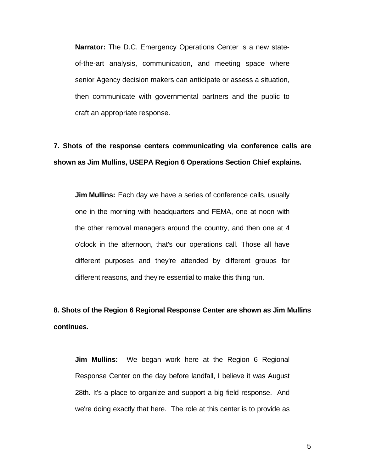**Narrator:** The D.C. Emergency Operations Center is a new stateof-the-art analysis, communication, and meeting space where senior Agency decision makers can anticipate or assess a situation, then communicate with governmental partners and the public to craft an appropriate response.

# **7. Shots of the response centers communicating via conference calls are shown as Jim Mullins, USEPA Region 6 Operations Section Chief explains.**

**Jim Mullins:** Each day we have a series of conference calls, usually one in the morning with headquarters and FEMA, one at noon with the other removal managers around the country, and then one at 4 o'clock in the afternoon, that's our operations call. Those all have different purposes and they're attended by different groups for different reasons, and they're essential to make this thing run.

**8. Shots of the Region 6 Regional Response Center are shown as Jim Mullins continues.** 

**Jim Mullins:** We began work here at the Region 6 Regional Response Center on the day before landfall, I believe it was August 28th. It's a place to organize and support a big field response. And we're doing exactly that here. The role at this center is to provide as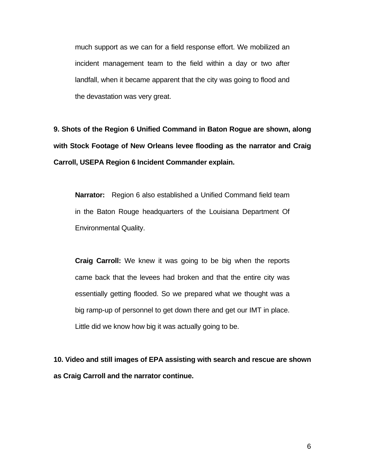much support as we can for a field response effort. We mobilized an incident management team to the field within a day or two after landfall, when it became apparent that the city was going to flood and the devastation was very great.

**9. Shots of the Region 6 Unified Command in Baton Rogue are shown, along with Stock Footage of New Orleans levee flooding as the narrator and Craig Carroll, USEPA Region 6 Incident Commander explain.** 

**Narrator:** Region 6 also established a Unified Command field team in the Baton Rouge headquarters of the Louisiana Department Of Environmental Quality.

**Craig Carroll:** We knew it was going to be big when the reports came back that the levees had broken and that the entire city was essentially getting flooded. So we prepared what we thought was a big ramp-up of personnel to get down there and get our IMT in place. Little did we know how big it was actually going to be.

**10. Video and still images of EPA assisting with search and rescue are shown as Craig Carroll and the narrator continue.**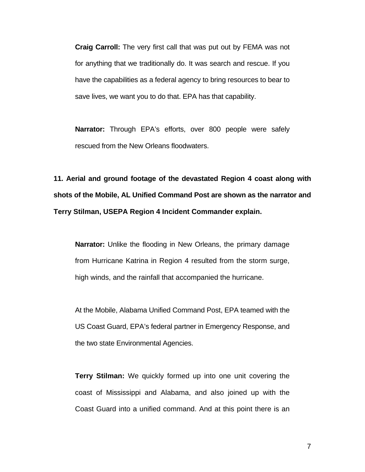**Craig Carroll:** The very first call that was put out by FEMA was not for anything that we traditionally do. It was search and rescue. If you have the capabilities as a federal agency to bring resources to bear to save lives, we want you to do that. EPA has that capability.

**Narrator:** Through EPA's efforts, over 800 people were safely rescued from the New Orleans floodwaters.

**11. Aerial and ground footage of the devastated Region 4 coast along with shots of the Mobile, AL Unified Command Post are shown as the narrator and Terry Stilman, USEPA Region 4 Incident Commander explain.** 

**Narrator:** Unlike the flooding in New Orleans, the primary damage from Hurricane Katrina in Region 4 resulted from the storm surge, high winds, and the rainfall that accompanied the hurricane.

At the Mobile, Alabama Unified Command Post, EPA teamed with the US Coast Guard, EPA's federal partner in Emergency Response, and the two state Environmental Agencies.

**Terry Stilman:** We quickly formed up into one unit covering the coast of Mississippi and Alabama, and also joined up with the Coast Guard into a unified command. And at this point there is an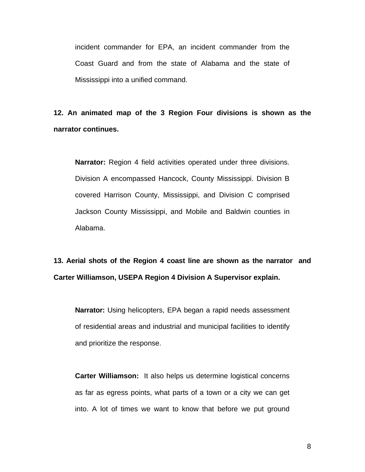incident commander for EPA, an incident commander from the Coast Guard and from the state of Alabama and the state of Mississippi into a unified command.

**12. An animated map of the 3 Region Four divisions is shown as the narrator continues.** 

**Narrator:** Region 4 field activities operated under three divisions. Division A encompassed Hancock, County Mississippi. Division B covered Harrison County, Mississippi, and Division C comprised Jackson County Mississippi, and Mobile and Baldwin counties in Alabama.

**13. Aerial shots of the Region 4 coast line are shown as the narrator and Carter Williamson, USEPA Region 4 Division A Supervisor explain.** 

**Narrator:** Using helicopters, EPA began a rapid needs assessment of residential areas and industrial and municipal facilities to identify and prioritize the response.

**Carter Williamson:** It also helps us determine logistical concerns as far as egress points, what parts of a town or a city we can get into. A lot of times we want to know that before we put ground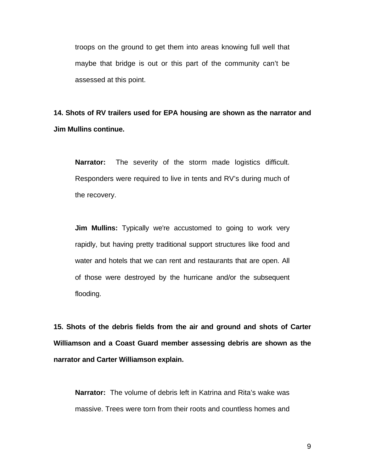troops on the ground to get them into areas knowing full well that maybe that bridge is out or this part of the community can't be assessed at this point.

**14. Shots of RV trailers used for EPA housing are shown as the narrator and Jim Mullins continue.** 

**Narrator:** The severity of the storm made logistics difficult. Responders were required to live in tents and RV's during much of the recovery.

**Jim Mullins:** Typically we're accustomed to going to work very rapidly, but having pretty traditional support structures like food and water and hotels that we can rent and restaurants that are open. All of those were destroyed by the hurricane and/or the subsequent flooding.

**15. Shots of the debris fields from the air and ground and shots of Carter Williamson and a Coast Guard member assessing debris are shown as the narrator and Carter Williamson explain.** 

**Narrator:** The volume of debris left in Katrina and Rita's wake was massive. Trees were torn from their roots and countless homes and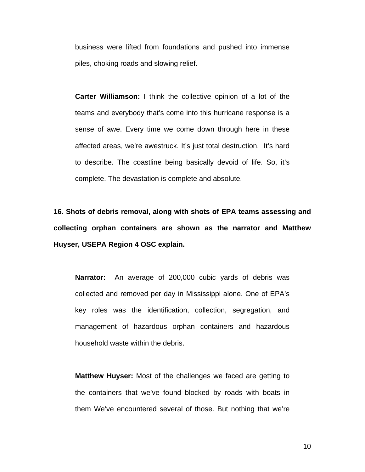business were lifted from foundations and pushed into immense piles, choking roads and slowing relief.

**Carter Williamson:** I think the collective opinion of a lot of the teams and everybody that's come into this hurricane response is a sense of awe. Every time we come down through here in these affected areas, we're awestruck. It's just total destruction. It's hard to describe. The coastline being basically devoid of life. So, it's complete. The devastation is complete and absolute.

**16. Shots of debris removal, along with shots of EPA teams assessing and collecting orphan containers are shown as the narrator and Matthew Huyser, USEPA Region 4 OSC explain.** 

**Narrator:** An average of 200,000 cubic yards of debris was collected and removed per day in Mississippi alone. One of EPA's key roles was the identification, collection, segregation, and management of hazardous orphan containers and hazardous household waste within the debris.

**Matthew Huyser:** Most of the challenges we faced are getting to the containers that we've found blocked by roads with boats in them We've encountered several of those. But nothing that we're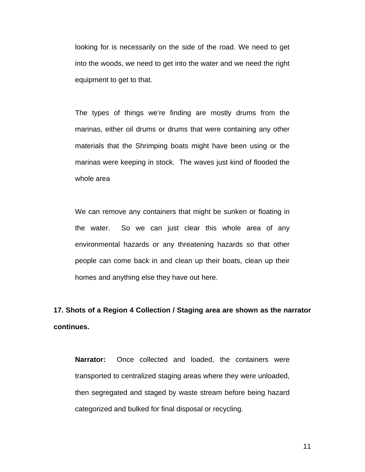looking for is necessarily on the side of the road. We need to get into the woods, we need to get into the water and we need the right equipment to get to that.

The types of things we're finding are mostly drums from the marinas, either oil drums or drums that were containing any other materials that the Shrimping boats might have been using or the marinas were keeping in stock. The waves just kind of flooded the whole area

We can remove any containers that might be sunken or floating in the water.So we can just clear this whole area of any environmental hazards or any threatening hazards so that other people can come back in and clean up their boats, clean up their homes and anything else they have out here.

**17. Shots of a Region 4 Collection / Staging area are shown as the narrator continues.** 

**Narrator:** Once collected and loaded, the containers were transported to centralized staging areas where they were unloaded, then segregated and staged by waste stream before being hazard categorized and bulked for final disposal or recycling.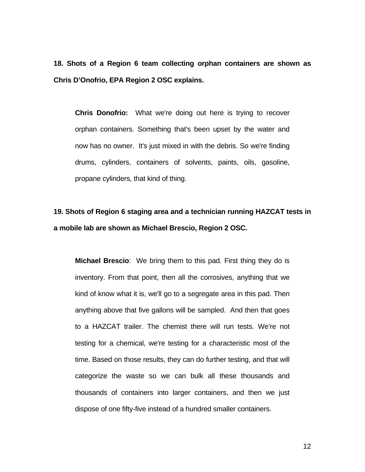**18. Shots of a Region 6 team collecting orphan containers are shown as Chris D'Onofrio, EPA Region 2 OSC explains.** 

**Chris Donofrio:** What we're doing out here is trying to recover orphan containers. Something that's been upset by the water and now has no owner. It's just mixed in with the debris. So we're finding drums, cylinders, containers of solvents, paints, oils, gasoline, propane cylinders, that kind of thing.

**19. Shots of Region 6 staging area and a technician running HAZCAT tests in a mobile lab are shown as Michael Brescio, Region 2 OSC.** 

**Michael Brescio**:We bring them to this pad. First thing they do is inventory. From that point, then all the corrosives, anything that we kind of know what it is, we'll go to a segregate area in this pad. Then anything above that five gallons will be sampled. And then that goes to a HAZCAT trailer. The chemist there will run tests. We're not testing for a chemical, we're testing for a characteristic most of the time. Based on those results, they can do further testing, and that will categorize the waste so we can bulk all these thousands and thousands of containers into larger containers, and then we just dispose of one fifty-five instead of a hundred smaller containers.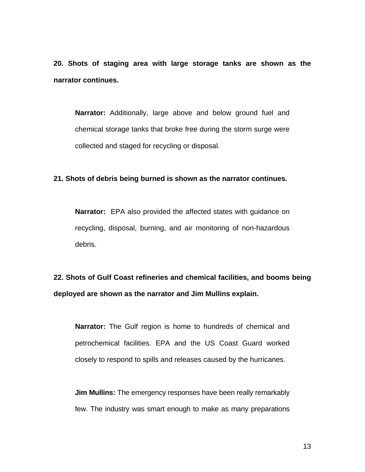**20. Shots of staging area with large storage tanks are shown as the narrator continues.** 

**Narrator:** Additionally, large above and below ground fuel and chemical storage tanks that broke free during the storm surge were collected and staged for recycling or disposal.

#### **21. Shots of debris being burned is shown as the narrator continues.**

**Narrator:** EPA also provided the affected states with guidance on recycling, disposal, burning, and air monitoring of non-hazardous debris.

**22. Shots of Gulf Coast refineries and chemical facilities, and booms being deployed are shown as the narrator and Jim Mullins explain.** 

**Narrator:** The Gulf region is home to hundreds of chemical and petrochemical facilities. EPA and the US Coast Guard worked closely to respond to spills and releases caused by the hurricanes.

**Jim Mullins:** The emergency responses have been really remarkably few. The industry was smart enough to make as many preparations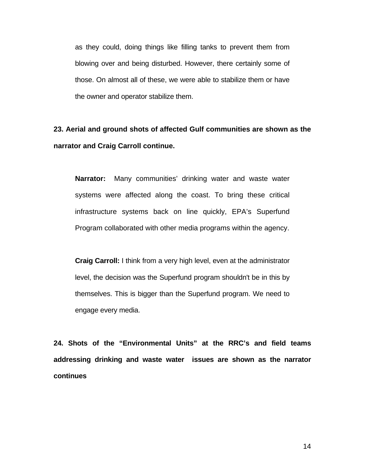as they could, doing things like filling tanks to prevent them from blowing over and being disturbed. However, there certainly some of those. On almost all of these, we were able to stabilize them or have the owner and operator stabilize them.

**23. Aerial and ground shots of affected Gulf communities are shown as the narrator and Craig Carroll continue.** 

**Narrator:** Many communities' drinking water and waste water systems were affected along the coast. To bring these critical infrastructure systems back on line quickly, EPA's Superfund Program collaborated with other media programs within the agency.

**Craig Carroll:** I think from a very high level, even at the administrator level, the decision was the Superfund program shouldn't be in this by themselves. This is bigger than the Superfund program. We need to engage every media.

**24. Shots of the "Environmental Units" at the RRC's and field teams addressing drinking and waste water issues are shown as the narrator continues**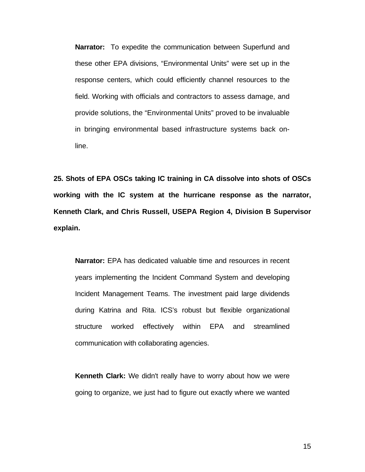**Narrator:** To expedite the communication between Superfund and these other EPA divisions, "Environmental Units" were set up in the response centers, which could efficiently channel resources to the field. Working with officials and contractors to assess damage, and provide solutions, the "Environmental Units" proved to be invaluable in bringing environmental based infrastructure systems back online.

**25. Shots of EPA OSCs taking IC training in CA dissolve into shots of OSCs working with the IC system at the hurricane response as the narrator, Kenneth Clark, and Chris Russell, USEPA Region 4, Division B Supervisor explain.** 

**Narrator:** EPA has dedicated valuable time and resources in recent years implementing the Incident Command System and developing Incident Management Teams. The investment paid large dividends during Katrina and Rita. ICS's robust but flexible organizational structure worked effectively within EPA and streamlined communication with collaborating agencies.

**Kenneth Clark:** We didn't really have to worry about how we were going to organize, we just had to figure out exactly where we wanted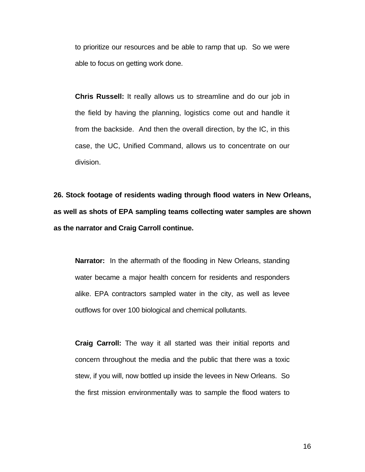to prioritize our resources and be able to ramp that up. So we were able to focus on getting work done.

**Chris Russell:** It really allows us to streamline and do our job in the field by having the planning, logistics come out and handle it from the backside. And then the overall direction, by the IC, in this case, the UC, Unified Command, allows us to concentrate on our division.

**26. Stock footage of residents wading through flood waters in New Orleans, as well as shots of EPA sampling teams collecting water samples are shown as the narrator and Craig Carroll continue.** 

**Narrator:** In the aftermath of the flooding in New Orleans, standing water became a major health concern for residents and responders alike. EPA contractors sampled water in the city, as well as levee outflows for over 100 biological and chemical pollutants.

**Craig Carroll:** The way it all started was their initial reports and concern throughout the media and the public that there was a toxic stew, if you will, now bottled up inside the levees in New Orleans. So the first mission environmentally was to sample the flood waters to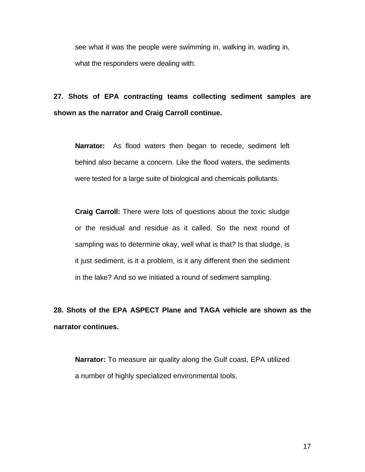see what it was the people were swimming in, walking in, wading in, what the responders were dealing with.

### **27. Shots of EPA contracting teams collecting sediment samples are shown as the narrator and Craig Carroll continue.**

**Narrator:** As flood waters then began to recede, sediment left behind also became a concern. Like the flood waters, the sediments were tested for a large suite of biological and chemicals pollutants.

**Craig Carroll:** There were lots of questions about the toxic sludge or the residual and residue as it called. So the next round of sampling was to determine okay, well what is that? Is that sludge, is it just sediment, is it a problem, is it any different then the sediment in the lake? And so we initiated a round of sediment sampling.

**28. Shots of the EPA ASPECT Plane and TAGA vehicle are shown as the narrator continues.** 

**Narrator:** To measure air quality along the Gulf coast, EPA utilized a number of highly specialized environmental tools.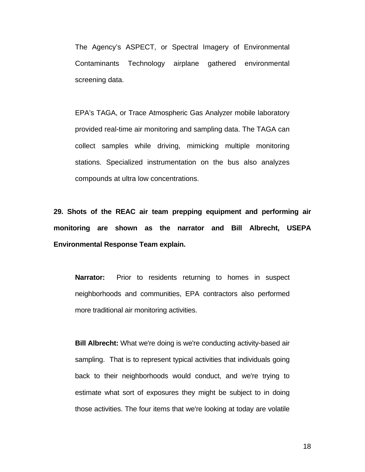The Agency's ASPECT, or Spectral Imagery of Environmental Contaminants Technology airplane gathered environmental screening data.

EPA's TAGA, or Trace Atmospheric Gas Analyzer mobile laboratory provided real-time air monitoring and sampling data. The TAGA can collect samples while driving, mimicking multiple monitoring stations. Specialized instrumentation on the bus also analyzes compounds at ultra low concentrations.

**29. Shots of the REAC air team prepping equipment and performing air monitoring are shown as the narrator and Bill Albrecht, USEPA Environmental Response Team explain.** 

**Narrator:** Prior to residents returning to homes in suspect neighborhoods and communities, EPA contractors also performed more traditional air monitoring activities.

**Bill Albrecht:** What we're doing is we're conducting activity-based air sampling. That is to represent typical activities that individuals going back to their neighborhoods would conduct, and we're trying to estimate what sort of exposures they might be subject to in doing those activities. The four items that we're looking at today are volatile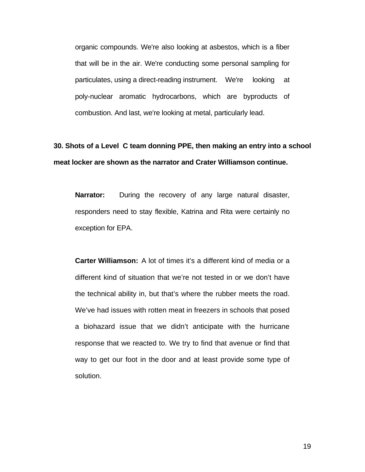organic compounds. We're also looking at asbestos, which is a fiber that will be in the air. We're conducting some personal sampling for particulates, using a direct-reading instrument. We're looking at poly-nuclear aromatic hydrocarbons, which are byproducts of combustion. And last, we're looking at metal, particularly lead.

# **30. Shots of a Level C team donning PPE, then making an entry into a school meat locker are shown as the narrator and Crater Williamson continue.**

**Narrator:** During the recovery of any large natural disaster, responders need to stay flexible, Katrina and Rita were certainly no exception for EPA.

**Carter Williamson:** A lot of times it's a different kind of media or a different kind of situation that we're not tested in or we don't have the technical ability in, but that's where the rubber meets the road. We've had issues with rotten meat in freezers in schools that posed a biohazard issue that we didn't anticipate with the hurricane response that we reacted to. We try to find that avenue or find that way to get our foot in the door and at least provide some type of solution.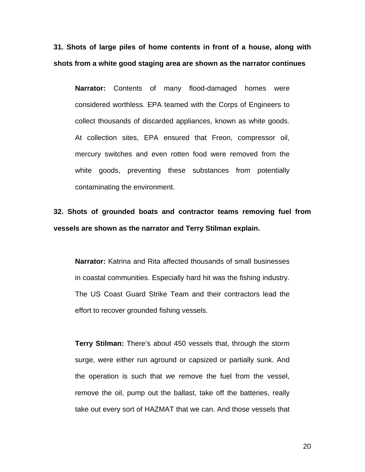**31. Shots of large piles of home contents in front of a house, along with shots from a white good staging area are shown as the narrator continues** 

**Narrator:** Contents of many flood-damaged homes were considered worthless. EPA teamed with the Corps of Engineers to collect thousands of discarded appliances, known as white goods. At collection sites, EPA ensured that Freon, compressor oil, mercury switches and even rotten food were removed from the white goods, preventing these substances from potentially contaminating the environment.

**32. Shots of grounded boats and contractor teams removing fuel from vessels are shown as the narrator and Terry Stilman explain.** 

**Narrator:** Katrina and Rita affected thousands of small businesses in coastal communities. Especially hard hit was the fishing industry. The US Coast Guard Strike Team and their contractors lead the effort to recover grounded fishing vessels.

**Terry Stilman:** There's about 450 vessels that, through the storm surge, were either run aground or capsized or partially sunk. And the operation is such that we remove the fuel from the vessel, remove the oil, pump out the ballast, take off the batteries, really take out every sort of HAZMAT that we can. And those vessels that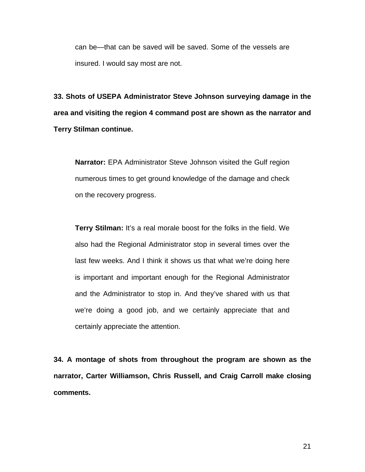can be—that can be saved will be saved. Some of the vessels are insured. I would say most are not.

**33. Shots of USEPA Administrator Steve Johnson surveying damage in the area and visiting the region 4 command post are shown as the narrator and Terry Stilman continue.** 

**Narrator:** EPA Administrator Steve Johnson visited the Gulf region numerous times to get ground knowledge of the damage and check on the recovery progress.

**Terry Stilman:** It's a real morale boost for the folks in the field. We also had the Regional Administrator stop in several times over the last few weeks. And I think it shows us that what we're doing here is important and important enough for the Regional Administrator and the Administrator to stop in. And they've shared with us that we're doing a good job, and we certainly appreciate that and certainly appreciate the attention.

**34. A montage of shots from throughout the program are shown as the narrator, Carter Williamson, Chris Russell, and Craig Carroll make closing comments.**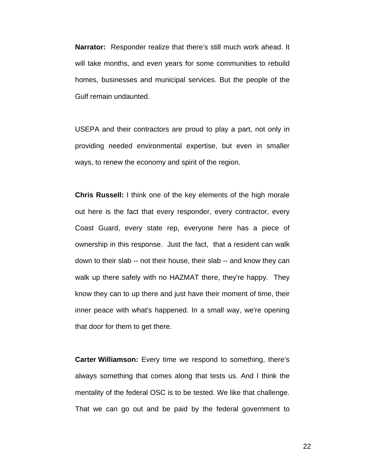**Narrator:** Responder realize that there's still much work ahead. It will take months, and even years for some communities to rebuild homes, businesses and municipal services. But the people of the Gulf remain undaunted.

USEPA and their contractors are proud to play a part, not only in providing needed environmental expertise, but even in smaller ways, to renew the economy and spirit of the region.

**Chris Russell:** I think one of the key elements of the high morale out here is the fact that every responder, every contractor, every Coast Guard, every state rep, everyone here has a piece of ownership in this response. Just the fact, that a resident can walk down to their slab -- not their house, their slab -- and know they can walk up there safely with no HAZMAT there, they're happy. They know they can to up there and just have their moment of time, their inner peace with what's happened. In a small way, we're opening that door for them to get there.

**Carter Williamson:** Every time we respond to something, there's always something that comes along that tests us. And I think the mentality of the federal OSC is to be tested. We like that challenge. That we can go out and be paid by the federal government to